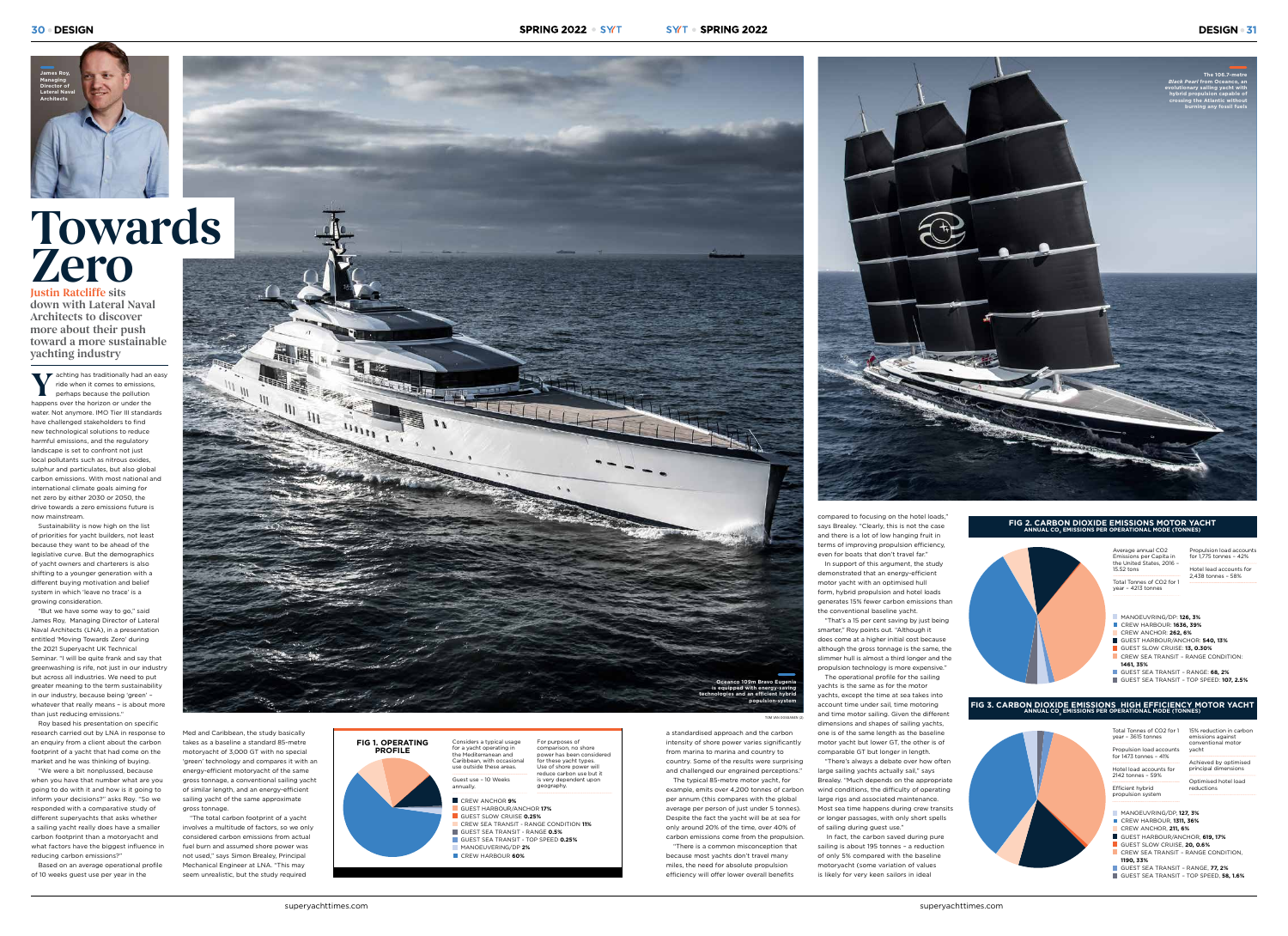Yachting has traditionally had an easy<br>ride when it comes to emissions,<br>perhaps because the pollution<br>happens over the horizon or under the ride when it comes to emissions, perhaps because the pollution happens over the horizon or under the water. Not anymore. IMO Tier III standards have challenged stakeholders to find new technological solutions to reduce harmful emissions, and the regulatory landscape is set to confront not just local pollutants such as nitrous oxides, sulphur and particulates, but also global carbon emissions. With most national and international climate goals aiming for net zero by either 2030 or 2050, the drive towards a zero emissions future is now mainstream.

Sustainability is now high on the list of priorities for yacht builders, not least because they want to be ahead of the legislative curve. But the demographics of yacht owners and charterers is also shifting to a younger generation with a different buying motivation and belief system in which 'leave no trace' is a growing consideration.



"But we have some way to go," said James Roy, Managing Director of Lateral Naval Architects (LNA), in a presentation entitled 'Moving Towards Zero' during the 2021 Superyacht UK Technical Seminar. "I will be quite frank and say that greenwashing is rife, not just in our industry but across all industries. We need to put greater meaning to the term sustainability in our industry, because being 'green' – whatever that really means - is about more than just reducing emissions."

Roy based his presentation on specific research carried out by LNA in response to an enquiry from a client about the carbon footprint of a yacht that had come on the market and he was thinking of buying.



"We were a bit nonplussed, because when you have that number what are you going to do with it and how is it going to inform your decisions?" asks Roy. "So we responded with a comparative study of different superyachts that asks whether a sailing yacht really does have a smaller carbon footprint than a motoryacht and what factors have the biggest influence in reducing carbon emissions?"

Based on an average operational profile of 10 weeks guest use per year in the

## CREW ANCHOR **9%**

- GUEST HARBOUR/ANCHOR **17%**
- GUEST SLOW CRUISE **0.25%** CREW SEA TRANSIT - RANGE CONDITION **11%**
- GUEST SEA TRANSIT RANGE **0.5%**
- GUEST SEA TRANSIT TOP SPEED **0.25%**
- MANOEUVERING/DP **2%** CREW HARBOUR **60%**

MANOEUVRING/DP, **127, 3%**

- CREW HARBOUR, **1311, 36%**
- CREW ANCHOR, **211, 6%**
- GUEST HARBOUR/ANCHOR, **619, 17%** GUEST SLOW CRUISE, **20, 0.6%**
- CREW SEA TRANSIT RANGE CONDITION,
- **1190, 33%** GUEST SEA TRANSIT – RANGE, **77, 2%**
- GUEST SEA TRANSIT TOP SPEED, **58, 1.6%**

**Justin Ratcliffe sits down with Lateral Naval Architects to discover more about their push toward a more sustainable yachting industry**



efficiency will offer lower overall benefits

Considers a typical usage for a yacht operating in the Mediterranean and Caribbean, with occasional use outside these areas.

Guest use – 10 Weeks

For purposes of

comparison, no shore power has been considered for these yacht types. Use of shore power will reduce carbon use but it is very dependent upon geography.

Propulsion load accounts

- 
- 
- 
- 
- 
- 



Efficient hybrid propulsion system 15% reduction in carbon emissions against conventional motor yacht

Achieved by optimised principal dimensions Optimised hotel load

reductions

Med and Caribbean, the study basically takes as a baseline a standard 85-metre motoryacht of 3,000 GT with no special 'green' technology and compares it with an energy-efficient motoryacht of the same gross tonnage, a conventional sailing yacht of similar length, and an energy-efficient sailing yacht of the same approximate gross tonnage.

"The total carbon footprint of a yacht involves a multitude of factors, so we only considered carbon emissions from actual fuel burn and assumed shore power was not used," says Simon Brealey, Principal Mechanical Engineer at LNA. "This may seem unrealistic, but the study required

and time motor sailing. Given the different dimensions and shapes of sailing yachts, one is of the same length as the baseline motor yacht but lower GT, the other is of comparable GT but longer in length.

"There's always a debate over how often large sailing yachts actually sail," says Brealey. "Much depends on the appropriate wind conditions, the difficulty of operating large rigs and associated maintenance. Most sea time happens during crew transits or longer passages, with only short spells of sailing during guest use."

 In fact, the carbon saved during pure sailing is about 195 tonnes – a reduction of only 5% compared with the baseline motoryacht (some variation of values is likely for very keen sailors in ideal

## **Towards Zero**